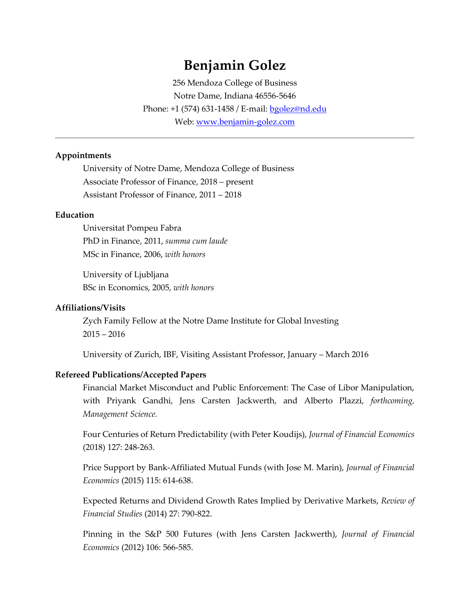# **Benjamin Golez**

256 Mendoza College of Business Notre Dame, Indiana 46556-5646 Phone: +1 (574) 631-1458 / E-mail: [bgolez@nd.edu](mailto:bgolez@nd.edu) Web: www.benjamin-golez.com

#### **Appointments**

University of Notre Dame, Mendoza College of Business Associate Professor of Finance, 2018 – present Assistant Professor of Finance, 2011 – 2018

#### **Education**

Universitat Pompeu Fabra PhD in Finance, 2011, *summa cum laude* MSc in Finance, 2006, *with honors*

University of Ljubljana BSc in Economics, 2005, *with honors*

#### **Affiliations/Visits**

Zych Family Fellow at the Notre Dame Institute for Global Investing 2015 – 2016

University of Zurich, IBF, Visiting Assistant Professor, January – March 2016

#### **Refereed Publications/Accepted Papers**

Financial Market Misconduct and Public Enforcement: The Case of Libor Manipulation, with Priyank Gandhi, Jens Carsten Jackwerth, and Alberto Plazzi, *forthcoming, Management Science.* 

Four Centuries of Return Predictability (with Peter Koudijs), *Journal of Financial Economics* (2018) 127: 248-263.

Price Support by Bank-Affiliated Mutual Funds (with Jose M. Marin), *Journal of Financial Economics* (2015) 115: 614-638.

Expected Returns and Dividend Growth Rates Implied by Derivative Markets, *Review of Financial Studies* (2014) 27: 790-822.

Pinning in the S&P 500 Futures (with Jens Carsten Jackwerth), *Journal of Financial Economics* (2012) 106: 566-585.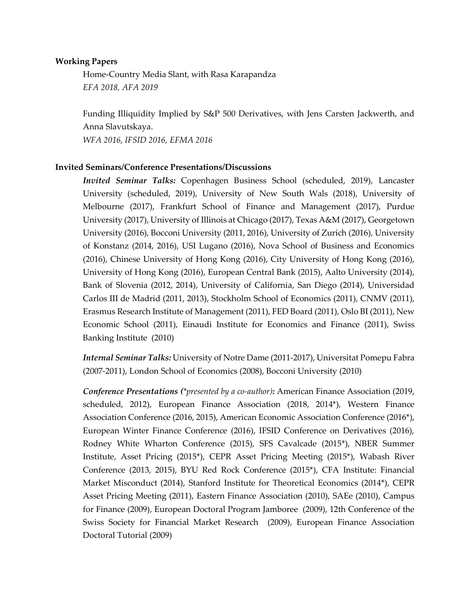#### **Working Papers**

Home-Country Media Slant, with Rasa Karapandza *EFA 2018, AFA 2019*

Funding Illiquidity Implied by S&P 500 Derivatives, with Jens Carsten Jackwerth, and Anna Slavutskaya. *WFA 2016, IFSID 2016, EFMA 2016*

#### **Invited Seminars/Conference Presentations/Discussions**

*Invited Seminar Talks:* Copenhagen Business School (scheduled, 2019), Lancaster University (scheduled, 2019), University of New South Wals (2018), University of Melbourne (2017), Frankfurt School of Finance and Management (2017), Purdue University (2017), University of Illinois at Chicago (2017), Texas A&M (2017), Georgetown University (2016), Bocconi University (2011, 2016), University of Zurich (2016), University of Konstanz (2014, 2016), USI Lugano (2016), Nova School of Business and Economics (2016), Chinese University of Hong Kong (2016), City University of Hong Kong (2016), University of Hong Kong (2016), European Central Bank (2015), Aalto University (2014), Bank of Slovenia (2012, 2014), University of California, San Diego (2014), Universidad Carlos III de Madrid (2011, 2013), Stockholm School of Economics (2011), CNMV (2011), Erasmus Research Institute of Management (2011), FED Board (2011), Oslo BI (2011), New Economic School (2011), Einaudi Institute for Economics and Finance (2011), Swiss Banking Institute (2010)

*Internal Seminar Talks:* University of Notre Dame (2011-2017), Universitat Pomepu Fabra (2007-2011), London School of Economics (2008), Bocconi University (2010)

*Conference Presentations (\*presented by a co-author):* American Finance Association (2019, scheduled, 2012), European Finance Association (2018, 2014\*), Western Finance Association Conference (2016, 2015), American Economic Association Conference (2016\*), European Winter Finance Conference (2016), IFSID Conference on Derivatives (2016), Rodney White Wharton Conference (2015), SFS Cavalcade (2015\*), NBER Summer Institute, Asset Pricing (2015\*), CEPR Asset Pricing Meeting (2015\*), Wabash River Conference (2013, 2015), BYU Red Rock Conference (2015\*), CFA Institute: Financial Market Misconduct (2014), Stanford Institute for Theoretical Economics (2014\*), CEPR Asset Pricing Meeting (2011), Eastern Finance Association (2010), SAEe (2010), Campus for Finance (2009), European Doctoral Program Jamboree (2009), 12th Conference of the Swiss Society for Financial Market Research (2009), European Finance Association Doctoral Tutorial (2009)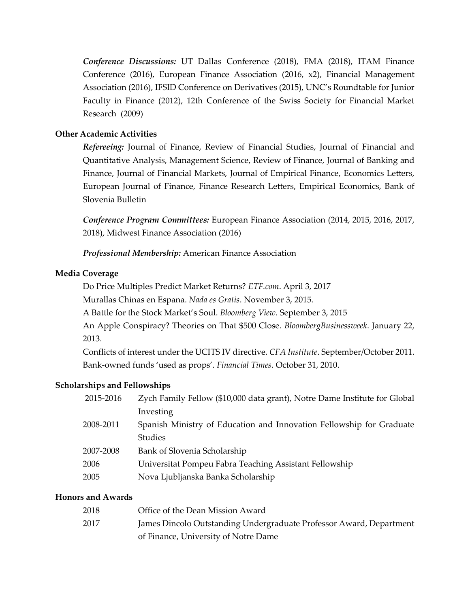*Conference Discussions:* UT Dallas Conference (2018), FMA (2018), ITAM Finance Conference (2016), European Finance Association (2016, x2), Financial Management Association (2016), IFSID Conference on Derivatives (2015), UNC's Roundtable for Junior Faculty in Finance (2012), 12th Conference of the Swiss Society for Financial Market Research (2009)

### **Other Academic Activities**

*Refereeing:* Journal of Finance, Review of Financial Studies, Journal of Financial and Quantitative Analysis, Management Science, Review of Finance, Journal of Banking and Finance, Journal of Financial Markets, Journal of Empirical Finance, Economics Letters, European Journal of Finance, Finance Research Letters, Empirical Economics, Bank of Slovenia Bulletin

*Conference Program Committees:* European Finance Association (2014, 2015, 2016, 2017, 2018), Midwest Finance Association (2016)

*Professional Membership:* American Finance Association

#### **Media Coverage**

Do Price Multiples Predict Market Returns? *ETF.com*. April 3, 2017

Murallas Chinas en Espana. *Nada es Gratis*. November 3, 2015.

A Battle for the Stock Market's Soul. *Bloomberg View*. September 3, 2015

An Apple Conspiracy? Theories on That \$500 Close. *BloombergBusinessweek*. January 22, 2013.

Conflicts of interest under the UCITS IV directive. *CFA Institute*. September/October 2011. Bank-owned funds 'used as props'. *Financial Times*. October 31, 2010.

## **Scholarships and Fellowships**

| 2015-2016 | Zych Family Fellow (\$10,000 data grant), Notre Dame Institute for Global |
|-----------|---------------------------------------------------------------------------|
|           | Investing                                                                 |
| 2008-2011 | Spanish Ministry of Education and Innovation Fellowship for Graduate      |
|           | <b>Studies</b>                                                            |
| 2007-2008 | Bank of Slovenia Scholarship                                              |
| 2006      | Universitat Pompeu Fabra Teaching Assistant Fellowship                    |
| 2005      | Nova Ljubljanska Banka Scholarship                                        |
|           |                                                                           |

#### **Honors and Awards**

| 2018 | Office of the Dean Mission Award                                    |
|------|---------------------------------------------------------------------|
| 2017 | James Dincolo Outstanding Undergraduate Professor Award, Department |
|      | of Finance, University of Notre Dame                                |